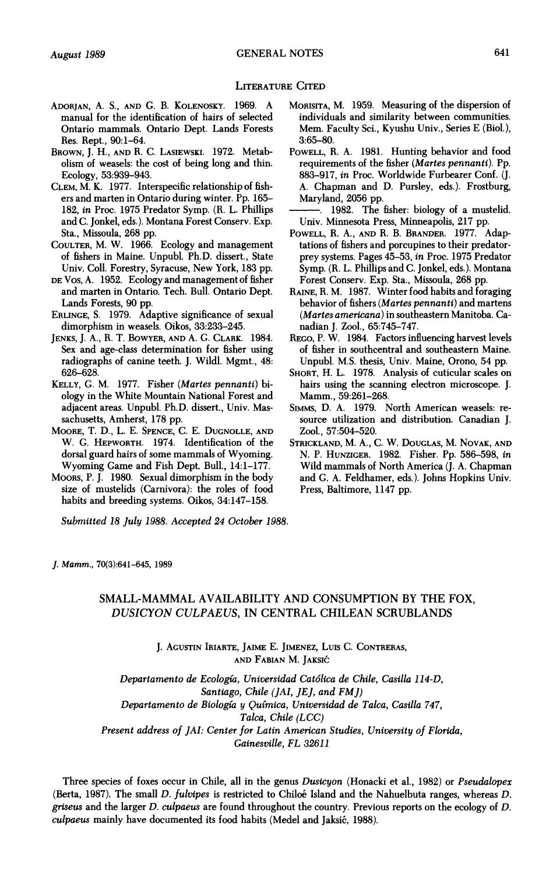## **LITERATURE CITED**

- **ADORJAN, A. S., AND G. B. KOLENOSKY. 1969. A manual for the identification of hairs of selected Ontario mammals. Ontario Dept. Lands Forests Res. Rept., 90:1-64.**
- **BROWN, J. H., AND R. C. LASIEWSKI. 1972. Metabolism of weasels: the cost of being long and thin. Ecology, 53:939-943.**
- **CLEM, M. K. 1977. Interspecific relationship of fishers and marten in Ontario during winter. Pp. 165- 182, in Proc. 1975 Predator Symp. (R. L. Phillips and C. Jonkel, eds.). Montana Forest Conserv. Exp. Sta., Missoula, 268 pp.**
- **COULTER, M. W. 1966. Ecology and management of fishers in Maine. Unpubl. Ph.D. dissert., State Univ. Coll. Forestry, Syracuse, New York, 183 pp.**
- **DE Vos, A. 1952. Ecology and management of fisher and marten in Ontario. Tech. Bull. Ontario Dept. Lands Forests, 90 pp.**
- **ERLINGE, S. 1979. Adaptive significance of sexual dimorphism in weasels. Oikos, 33:233-245.**
- **JENKS, J. A., R. T. BOWYER, AND A. G. CLARK. 1984. Sex and age-class determination for fisher using radiographs of canine teeth. J. Wildl. Mgmt., 48: 626-628.**
- **KELLY, G. M. 1977. Fisher (Martes pennanti) biology in the White Mountain National Forest and adjacent areas. Unpubl. Ph.D. dissert., Univ. Massachusetts, Amherst, 178 pp.**
- **MOORE, T. D., L. E. SPENCE, C. E. DUGNOLLE, AND W. G. HEPWORTH. 1974. Identification of the dorsal guard hairs of some mammals of Wyoming. Wyoming Game and Fish Dept. Bull., 14:1-177.**
- **MOORs, P. J. 1980. Sexual dimorphism in the body size of mustelids (Carnivora): the roles of food habits and breeding systems. Oikos, 34:147-158.**

**Submitted 18 July 1988. Accepted 24 October 1988.** 

- **MORISITA, M. 1959. Measuring of the dispersion of individuals and similarity between communities. Mem. Faculty Sci., Kyushu Univ., Series E (Biol.), 3:65-80.**
- **POWELL, R. A. 1981. Hunting behavior and food requirements of the fisher (Martes pennanti). Pp. 883-917, in Proc. Worldwide Furbearer Conf. (J. A. Chapman and D. Pursley, eds.). Frostburg, Maryland, 2056 pp.**
- **. 1982. The fisher: biology of a mustelid. Univ. Minnesota Press, Minneapolis, 217 pp.**
- **POWELL, R. A., AND R. B. BRANDER. 1977. Adaptations of fishers and porcupines to their predatorprey systems. Pages 45-53, in Proc. 1975 Predator Symp. (R. L. Phillips and C. Jonkel, eds.). Montana Forest Conserv. Exp. Sta., Missoula, 268 pp.**
- **RAINE, R. M. 1987. Winter food habits and foraging behavior of fishers (Martes pennanti) and martens (Martes americana) in southeastern Manitoba. Canadian J. Zool., 65:745-747.**
- **REGO, P. W. 1984. Factors influencing harvest levels of fisher in southcentral and southeastern Maine. Unpubl. M.S. thesis, Univ. Maine, Orono, 54 pp.**
- **SHORT, H. L. 1978. Analysis of cuticular scales on hairs using the scanning electron microscope. J. Mamm., 59:261-268.**
- **SIMMs, D. A. 1979. North American weasels: resource utilization and distribution. Canadian J. Zool., 57:504-520.**
- **STRICKLAND, M. A., C. W. DOUGLAS, M. NOVAK, AND N. P. HUNZIGER. 1982. Fisher. Pp. 586-598, in Wild mammals of North America (J. A. Chapman and G. A. Feldhamer, eds.). Johns Hopkins Univ. Press, Baltimore, 1147 pp.**

**J. Mamm., 70(3):641-645, 1989** 

## **SMALL-MAMMAL AVAILABILITY AND CONSUMPTION BY THE FOX, DUSICYON CULPAEUS, IN CENTRAL CHILEAN SCRUBLANDS**

**J. AGUSTIN IRIARTE, JAIME E. JIMENEZ, LUIS C. CONTRERAS, AND FABIAN M. JAKSIC** 

**Departamento de Ecologia, Universidad Cat6lica de Chile, Casilla 114-D, Santiago, Chile (JAI, JEJ, and FMJ) Departamento de Biologfa y Qufmica, Universidad de Talca, Casilla 747, Talca, Chile (LCC) Present address of JAI: Center for Latin American Studies, University of Florida, Gainesville, FL 32611** 

**Three species of foxes occur in Chile, all in the genus Dusicyon (Honacki et al., 1982) or Pseudalopex**  (Berta, 1987). The small *D. fulvipes* is restricted to Chiloé Island and the Nahuelbuta ranges, whereas *D.* **griseus and the larger D. culpaeus are found throughout the country. Previous reports on the ecology of D.**  culpaeus mainly have documented its food habits (Medel and Jaksić, 1988).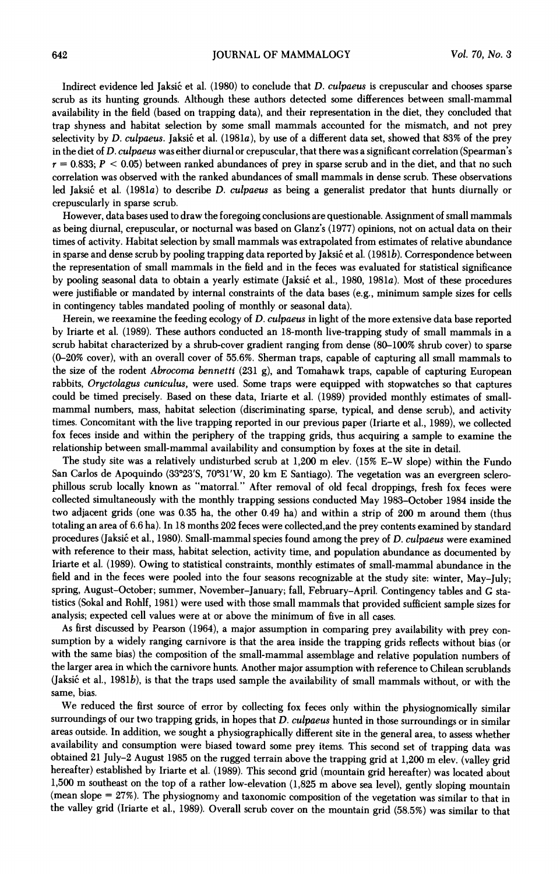Indirect evidence led Jaksić et al. (1980) to conclude that *D. culpaeus* is crepuscular and chooses sparse **scrub as its hunting grounds. Although these authors detected some differences between small-mammal availability in the field (based on trapping data), and their representation in the diet, they concluded that trap shyness and habitat selection by some small mammals accounted for the mismatch, and not prey**  selectivity by *D. culpaeus.* Jaksić et al. (1981a), by use of a different data set, showed that 83% of the prey **in the diet of D. culpaeus was either diurnal or crepuscular, that there was a significant correlation (Spearman's r = 0.833; P < 0.05) between ranked abundances of prey in sparse scrub and in the diet, and that no such correlation was observed with the ranked abundances of small mammals in dense scrub. These observations**  led Jaksić et al. (1981*a*) to describe *D. culpaeus* as being a generalist predator that hunts diurnally or **crepuscularly in sparse scrub.** 

**However, data bases used to draw the foregoing conclusions are questionable. Assignment of small mammals as being diurnal, crepuscular, or nocturnal was based on Glanz's (1977) opinions, not on actual data on their times of activity. Habitat selection by small mammals was extrapolated from estimates of relative abundance**  in sparse and dense scrub by pooling trapping data reported by Jaksić et al. (1981b). Correspondence between **the representation of small mammals in the field and in the feces was evaluated for statistical significance**  by pooling seasonal data to obtain a yearly estimate (Jaksić et al., 1980, 1981a). Most of these procedures **were justifiable or mandated by internal constraints of the data bases (e.g., minimum sample sizes for cells in contingency tables mandated pooling of monthly or seasonal data).** 

**Herein, we reexamine the feeding ecology of D. culpaeus in light of the more extensive data base reported by Iriarte et al. (1989). These authors conducted an 18-month live-trapping study of small mammals in a scrub habitat characterized by a shrub-cover gradient ranging from dense (80-100% shrub cover) to sparse (0-20% cover), with an overall cover of 55.6%. Sherman traps, capable of capturing all small mammals to the size of the rodent Abrocoma bennetti (231 g), and Tomahawk traps, capable of capturing European rabbits, Oryctolagus cuniculus, were used. Some traps were equipped with stopwatches so that captures could be timed precisely. Based on these data, Iriarte et al. (1989) provided monthly estimates of smallmammal numbers, mass, habitat selection (discriminating sparse, typical, and dense scrub), and activity times. Concomitant with the live trapping reported in our previous paper (Iriarte et al., 1989), we collected fox feces inside and within the periphery of the trapping grids, thus acquiring a sample to examine the relationship between small-mammal availability and consumption by foxes at the site in detail.** 

**The study site was a relatively undisturbed scrub at 1,200 m elev. (15% E-W slope) within the Fundo**  San Carlos de Apoquindo (33°23'S, 70°31'W, 20 km E Santiago). The vegetation was an evergreen sclero**phillous scrub locally known as "matorral." After removal of old fecal droppings, fresh fox feces were collected simultaneously with the monthly trapping sessions conducted May 1983-October 1984 inside the two adjacent grids (one was 0.35 ha, the other 0.49 ha) and within a strip of 200 m around them (thus totaling an area of 6.6 ha). In 18 months 202 feces were collected,and the prey contents examined by standard procedures (Jaksi6 et al., 1980). Small-mammal species found among the prey of D. culpaeus were examined with reference to their mass, habitat selection, activity time, and population abundance as documented by Iriarte et al. (1989). Owing to statistical constraints, monthly estimates of small-mammal abundance in the field and in the feces were pooled into the four seasons recognizable at the study site: winter, May-July; spring, August-October; summer, November-January; fall, February-April. Contingency tables and G statistics (Sokal and Rohlf, 1981) were used with those small mammals that provided sufficient sample sizes for analysis; expected cell values were at or above the minimum of five in all cases.** 

**As first discussed by Pearson (1964), a major assumption in comparing prey availability with prey consumption by a widely ranging carnivore is that the area inside the trapping grids reflects without bias (or with the same bias) the composition of the small-mammal assemblage and relative population numbers of the larger area in which the carnivore hunts. Another major assumption with reference to Chilean scrublands**  (Jaksić et al., 1981b), is that the traps used sample the availability of small mammals without, or with the **same, bias.** 

**We reduced the first source of error by collecting fox feces only within the physiognomically similar surroundings of our two trapping grids, in hopes that D. culpaeus hunted in those surroundings or in similar areas outside. In addition, we sought a physiographically different site in the general area, to assess whether availability and consumption were biased toward some prey items. This second set of trapping data was obtained 21 July-2 August 1985 on the rugged terrain above the trapping grid at 1,200 m elev. (valley grid hereafter) established by Iriarte et al. (1989). This second grid (mountain grid hereafter) was located about 1,500 m southeast on the top of a rather low-elevation (1,825 m above sea level), gently sloping mountain (mean slope <sup>=</sup>27%). The physiognomy and taxonomic composition of the vegetation was similar to that in the valley grid (Iriarte et al., 1989). Overall scrub cover on the mountain grid (58.5%) was similar to that**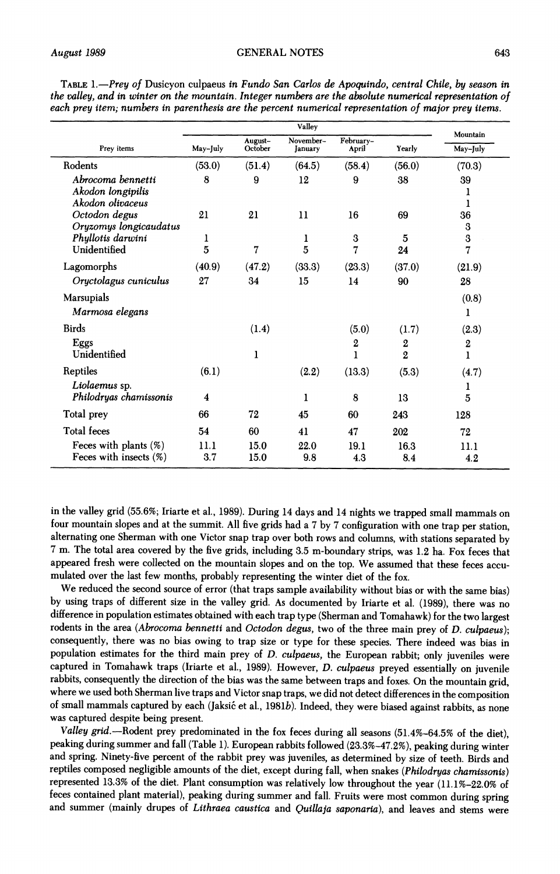|                                                            | Valley      |                    |                      |                     |                     |                       |  |  |
|------------------------------------------------------------|-------------|--------------------|----------------------|---------------------|---------------------|-----------------------|--|--|
| Prey items                                                 | May-July    | August-<br>October | November-<br>January | February-<br>April  | Yearly              | Mountain<br>May-July  |  |  |
| Rodents                                                    | (53.0)      | (51.4)             | (64.5)               | (58.4)              | (56.0)              | (70.3)                |  |  |
| Abrocoma bennetti<br>Akodon longipilis<br>Akodon olivaceus | 8           | 9                  | 12                   | 9                   | 38                  | 39<br>1<br>1          |  |  |
| Octodon degus<br>Oryzomys longicaudatus                    | 21          | 21                 | 11                   | 16                  | 69                  | 36<br>3               |  |  |
| Phyllotis darwini<br>Unidentified                          | ı<br>5      | 7                  | 1<br>5               | 3<br>7              | 5<br>24             | $\mathbf 3$<br>7      |  |  |
| Lagomorphs                                                 | (40.9)      | (47.2)             | (33.3)               | (23.3)              | (37.0)              | (21.9)                |  |  |
| Oryctolagus cuniculus                                      | 27          | 34                 | 15                   | 14                  | 90                  | 28                    |  |  |
| Marsupials<br>Marmosa elegans                              |             |                    |                      |                     |                     | (0.8)<br>1            |  |  |
| <b>Birds</b>                                               |             | (1.4)              |                      | (5.0)               | (1.7)               | (2.3)                 |  |  |
| Eggs<br>Unidentified                                       |             | ı                  |                      | $\overline{2}$<br>ı | 2<br>$\overline{2}$ | $\boldsymbol{2}$<br>ı |  |  |
| Reptiles                                                   | (6.1)       |                    | (2.2)                | (13.3)              | (5.3)               | (4.7)                 |  |  |
| Liolaemus sp.<br>Philodryas chamissonis                    | 4           |                    | 1                    | 8                   | 13                  | ı<br>5                |  |  |
| Total prey                                                 | 66          | 72                 | 45                   | 60                  | 243                 | 128                   |  |  |
| <b>Total feces</b>                                         | 54          | 60                 | 41                   | 47                  | 202                 | 72                    |  |  |
| Feces with plants $(\%)$<br>Feces with insects $(\%)$      | 11.1<br>3.7 | 15.0<br>15.0       | 22.0<br>9.8          | 19.1<br>4.3         | 16.3<br>8.4         | 11.1<br>4.2           |  |  |

**TABLE 1.-Prey of Dusicyon culpaeus in Fundo San Carlos de Apoquindo, central Chile, by season in the valley, and in winter on the mountain. Integer numbers are the absolute numerical representation of each prey item; numbers in parenthesis are the percent numerical representation of major prey items.** 

**in the valley grid (55.6%; Iriarte et al., 1989). During 14 days and 14 nights we trapped small mammals on four mountain slopes and at the summit. All five grids had a 7 by 7 configuration with one trap per station, alternating one Sherman with one Victor snap trap over both rows and columns, with stations separated by 7 m. The total area covered by the five grids, including 3.5 m-boundary strips, was 1.2 ha. Fox feces that appeared fresh were collected on the mountain slopes and on the top. We assumed that these feces accumulated over the last few months, probably representing the winter diet of the fox.** 

**We reduced the second source of error (that traps sample availability without bias or with the same bias) by using traps of different size in the valley grid. As documented by Iriarte et al. (1989), there was no difference in population estimates obtained with each trap type (Sherman and Tomahawk) for the two largest rodents in the area (Abrocoma bennetti and Octodon degus, two of the three main prey of D. culpaeus); consequently, there was no bias owing to trap size or type for these species. There indeed was bias in population estimates for the third main prey of D. culpaeus, the European rabbit; only juveniles were captured in Tomahawk traps (Iriarte et al., 1989). However, D. culpaeus preyed essentially on juvenile rabbits, consequently the direction of the bias was the same between traps and foxes. On the mountain grid, where we used both Sherman live traps and Victor snap traps, we did not detect differences in the composition**  of small mammals captured by each (Jaksić et al., 1981b). Indeed, they were biased against rabbits, as none **was captured despite being present.** 

**Valley grid.-Rodent prey predominated in the fox feces during all seasons (51.4%-64.5% of the diet), peaking during summer and fall (Table 1). European rabbits followed (23.3%-47.2%), peaking during winter and spring. Ninety-five percent of the rabbit prey was juveniles, as determined by size of teeth. Birds and reptiles composed negligible amounts of the diet, except during fall, when snakes (Philodryas chamissonis) represented 13.3% of the diet. Plant consumption was relatively low throughout the year (11.1%-22.0% of feces contained plant material), peaking during summer and fall. Fruits were most common during spring and summer (mainly drupes of Lithraea caustica and Quillaja saponaria), and leaves and stems were**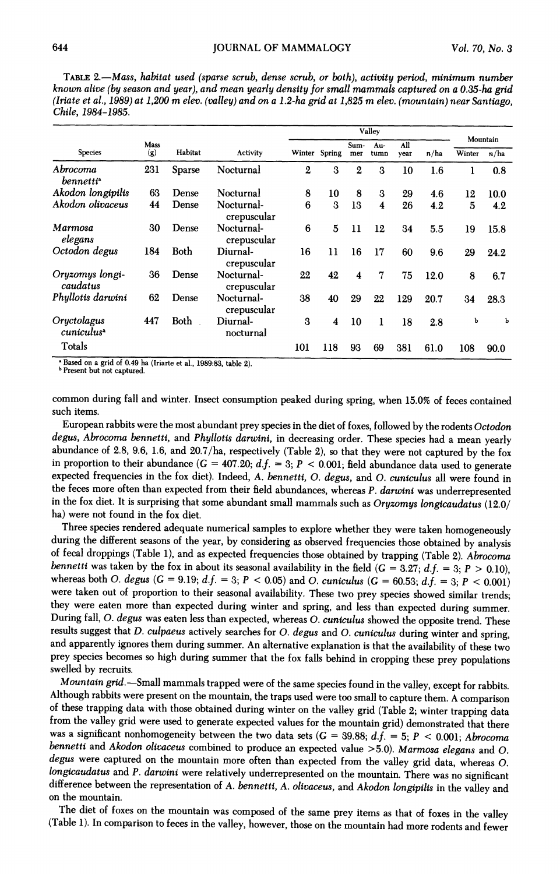**TABLE 2.-Mass, habitat used (sparse scrub, dense scrub, or both), activity period, minimum number known alive (by season and year), and mean yearly density for small mammals captured on a 0.35-ha grid (Iriate et al., 1989) at 1,200 m elev. (valley) and on a 1.2-ha grid at 1,825 m elev. (mountain) near Santiago, Chile, 1984-1985.** 

|                                              |      |         |                           | Valley        |     |                  |                         |      |      |          |      |
|----------------------------------------------|------|---------|---------------------------|---------------|-----|------------------|-------------------------|------|------|----------|------|
|                                              | Mass |         |                           |               |     | Sum-             | Au-                     | All  |      | Mountain |      |
| <b>Species</b>                               | (g)  | Habitat | Activity                  | Winter Spring |     | mer              | tumn                    | vear | n/ha | Winter   | n/ha |
| Abrocoma<br><i>bennetti</i> <sup>a</sup>     | 231  | Sparse  | Nocturnal                 | $\mathbf{2}$  | 3   | $\boldsymbol{2}$ | 3                       | 10   | 1.6  | ı        | 0.8  |
| Akodon longipilis                            | 63   | Dense   | Nocturnal                 | 8             | 10  | 8                | 3                       | 29   | 4.6  | 12       | 10.0 |
| Akodon olivaceus                             | 44   | Dense   | Nocturnal-<br>crepuscular | 6             | 3   | 13               | $\overline{\mathbf{4}}$ | 26   | 4.2  | 5        | 4.2  |
| Marmosa<br>elegans                           | 30   | Dense   | Nocturnal-<br>crepuscular | 6             | 5   | 11               | 12                      | 34   | 5.5  | 19       | 15.8 |
| Octodon degus                                | 184  | Both    | Diurnal-<br>crepuscular   | 16            | 11  | 16               | 17                      | 60   | 9.6  | 29       | 24.2 |
| Oryzomys longi-<br>caudatus                  | 36   | Dense   | Nocturnal-<br>crepuscular | 22            | 42  | 4                | 7                       | 75   | 12.0 | 8        | 6.7  |
| Phyllotis darwini                            | 62   | Dense   | Nocturnal-<br>crepuscular | 38            | 40  | 29               | 22                      | 129  | 20.7 | 34       | 28.3 |
| Oryctolagus<br><i>cuniculus</i> <sup>a</sup> | 447  | Both    | Diurnal-<br>nocturnal     | 3             | 4   | 10               | 1                       | 18   | 2.8  | ь        | ь    |
| Totals                                       |      |         |                           | 101           | 118 | 93               | 69                      | 381  | 61.0 | 108      | 90.0 |

**on a grid of 0.49 ha (Iriarte et al., 1989:83, table 2).** 

<sup>**b Present but not captured.**</sup>

**common during fall and winter. Insect consumption peaked during spring, when 15.0% of feces contained such items.** 

**European rabbits were the most abundant prey species in the diet of foxes, followed by the rodents Octodon degus, Abrocoma bennetti, and Phyllotis darwini, in decreasing order. These species had a mean yearly abundance of 2.8, 9.6, 1.6, and 20.7/ha, respectively (Table 2), so that they were not captured by the fox**  in proportion to their abundance  $(G = 407.20; d.f. = 3; P < 0.001; \text{ field abundance data used to generate }$ **expected frequencies in the fox diet). Indeed, A. bennetti, 0. degus, and 0. cuniculus all were found in the feces more often than expected from their field abundances, whereas P. darwini was underrepresented in the fox diet. It is surprising that some abundant small mammals such as Oryzomys longicaudatus (12.0/ ha) were not found in the fox diet.** 

**Three species rendered adequate numerical samples to explore whether they were taken homogeneously during the different seasons of the year, by considering as observed frequencies those obtained by analysis of fecal droppings (Table 1), and as expected frequencies those obtained by trapping (Table 2). Abrocoma**  bennetti was taken by the fox in about its seasonal availability in the field  $(G = 3.27; d.f. = 3; P > 0.10)$ . whereas both O. degus  $(G = 9.19; d.f. = 3; P < 0.05)$  and O. cuniculus  $(G = 60.53; d.f. = 3; P < 0.001)$ **were taken out of proportion to their seasonal availability. These two prey species showed similar trends; they were eaten more than expected during winter and spring, and less than expected during summer. During fall, 0. degus was eaten less than expected, whereas 0. cuniculus showed the opposite trend. These**  and apparently ignores them during summer. An alternative explanation is that the availability of these two **prey species becomes so high during summer that the fox falls behind in cropping these prey populations swelled by recruits.** 

Mountain grid.—Small mammals trapped were of the same species found in the valley, except for rabbits.<br>Although rabbits were present on the mountain, the traps used were too small to capture them. A comparison of these trapping data with those obtained during winter on the valley grid (Table 2; winter trapping data **from the valley grid were used to generate expected values for the mountain grid) demonstrated that there was a significant nonhomogeneity between the two data sets (G = 39.88; d.f. = 5; P < 0.001; Abrocoma bennetti and Akodon olivaceus combined to produce an expected value >5.0). Marmosa elegans and 0.**  degus were captured on the mountain more often than expected from the valley grid data, whereas O. longicaudatus and P. darwini were relatively underrepresented on the mountain. There was no significant difference between the representation of A. bennetti, A. olivaceus, and Akodon longipilis in the valley and **on the mountain.** 

**The diet of foxes on the mountain was composed of the same prey items as that of foxes in the valley (Table 1). In comparison to feces in the valley, however, those on the mountain had more rodents and fewer**